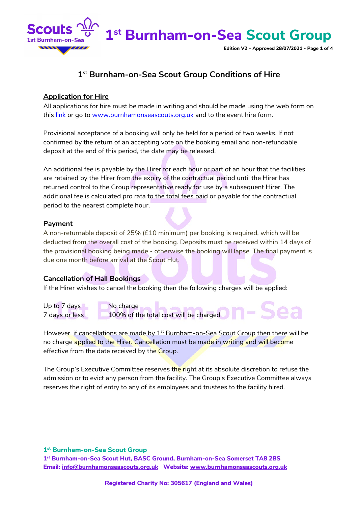

**Edition V2 – Approved 28/07/2021 - Page 1 of 4**

### **1st Burnham-on-Sea Scout Group Conditions of Hire**

### **Application for Hire**

All applications for hire must be made in writing and should be made using the web form on this [link](http://www.burnhamonseascouts.org.uk/event_hire_form.htm) or go to [www.burnhamonseascouts.org.uk](http://www.burnhamonseascouts.org.uk/) and to the event hire form.

Provisional acceptance of a booking will only be held for a period of two weeks. If not confirmed by the return of an accepting vote on the booking email and non-refundable deposit at the end of this period, the date may be released.

An additional fee is payable by the Hirer for each hour or part of an hour that the facilities are retained by the Hirer from the expiry of the contractual period until the Hirer has returned control to the Group representative ready for use by a subsequent Hirer. The additional fee is calculated pro rata to the total fees paid or payable for the contractual period to the nearest complete hour.

### **Payment**

A non-returnable deposit of 25% (£10 minimum) per booking is required, which will be deducted from the overall cost of the booking. Deposits must be received within 14 days of the provisional booking being made - otherwise the booking will lapse. The final payment is due one month before arrival at the Scout Hut.

### **Cancellation of Hall Bookings**

If the Hirer wishes to cancel the booking then the following charges will be applied:

Up to 7 days No charge Up to 7 days No charge<br>100% of the total cost will be charged

However, if cancellations are made by  $1<sup>st</sup>$  Burnham-on-Sea Scout Group then there will be no charge applied to the Hirer. Cancellation must be made in writing and will become effective from the date received by the Group.

The Group's Executive Committee reserves the right at its absolute discretion to refuse the admission or to evict any person from the facility. The Group's Executive Committee always reserves the right of entry to any of its employees and trustees to the facility hired.

### **1st Burnham-on-Sea Scout Group**

**1st Burnham-on-Sea Scout Hut, BASC Ground, Burnham-on-Sea Somerset TA8 2BS Email: [info@burnhamonseascouts.org.uk](mailto:info@burnhamonseascouts.org.uk) Website: [www.burnhamonseascouts.org.uk](http://www.burnhamonseascouts.org.uk/)**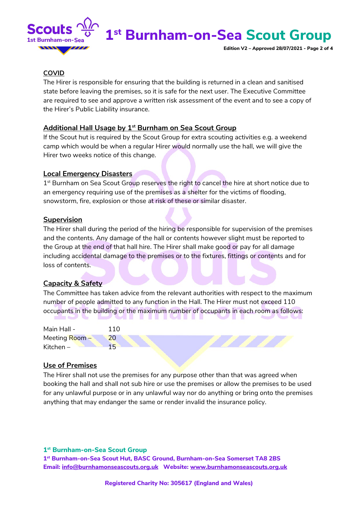

**Edition V2 – Approved 28/07/2021 - Page 2 of 4**

### **COVID**

The Hirer is responsible for ensuring that the building is returned in a clean and sanitised state before leaving the premises, so it is safe for the next user. The Executive Committee are required to see and approve a written risk assessment of the event and to see a copy of the Hirer's Public Liability insurance.

### **Additional Hall Usage by 1st Burnham on Sea Scout Group**

If the Scout hut is required by the Scout Group for extra scouting activities e.g. a weekend camp which would be when a regular Hirer would normally use the hall, we will give the Hirer two weeks notice of this change.

### **Local Emergency Disasters**

1<sup>st</sup> Burnham on Sea Scout Group reserves the right to cancel the hire at short notice due to an emergency requiring use of the premises as a shelter for the victims of flooding, snowstorm, fire, explosion or those at risk of these or similar disaster.

### **Supervision**

The Hirer shall during the period of the hiring be responsible for supervision of the premises and the contents. Any damage of the hall or contents however slight must be reported to the Group at the end of that hall hire. The Hirer shall make good or pay for all damage including accidental damage to the premises or to the fixtures, fittings or contents and for loss of contents.

### **Capacity & Safety**

The Committee has taken advice from the relevant authorities with respect to the maximum number of people admitted to any function in the Hall. The Hirer must not exceed 110 occupants in the building or the maximum number of occupants in each room as follows:

| Main Hall -    | 110             |
|----------------|-----------------|
| Meeting Room - | 20 <sup>°</sup> |
| Kitchen $-$    | 1 도             |

### **Use of Premises**

The Hirer shall not use the premises for any purpose other than that was agreed when booking the hall and shall not sub hire or use the premises or allow the premises to be used for any unlawful purpose or in any unlawful way nor do anything or bring onto the premises anything that may endanger the same or render invalid the insurance policy.

### **1st Burnham-on-Sea Scout Group**

**1st Burnham-on-Sea Scout Hut, BASC Ground, Burnham-on-Sea Somerset TA8 2BS Email: [info@burnhamonseascouts.org.uk](mailto:info@burnhamonseascouts.org.uk) Website: [www.burnhamonseascouts.org.uk](http://www.burnhamonseascouts.org.uk/)**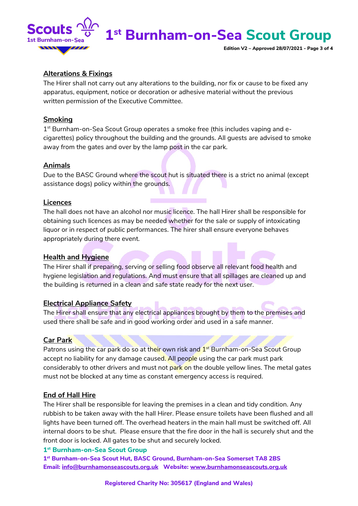

**Edition V2 – Approved 28/07/2021 - Page 3 of 4**

### **Alterations & Fixings**

The Hirer shall not carry out any alterations to the building, nor fix or cause to be fixed any apparatus, equipment, notice or decoration or adhesive material without the previous written permission of the Executive Committee.

### **Smoking**

1<sup>st</sup> Burnham-on-Sea Scout Group operates a smoke free (this includes vaping and ecigarettes) policy throughout the building and the grounds. All guests are advised to smoke away from the gates and over by the lamp post in the car park.

### **Animals**

Due to the BASC Ground where the scout hut is situated there is a strict no animal (except assistance dogs) policy within the grounds.

### **Licences**

The hall does not have an alcohol nor music licence. The hall Hirer shall be responsible for obtaining such licences as may be needed whether for the sale or supply of intoxicating liquor or in respect of public performances. The hirer shall ensure everyone behaves appropriately during there event.

### **Health and Hygiene**

The Hirer shall if preparing, serving or selling food observe all relevant food health and hygiene legislation and regulations. And must ensure that all spillages are cleaned up and the building is returned in a clean and safe state ready for the next user.

### **Electrical Appliance Safety**

The Hirer shall ensure that any electrical appliances brought by them to the premises and used there shall be safe and in good working order and used in a safe manner.

### **Car Park**

Patrons using the car park do so at their own risk and 1<sup>st</sup> Burnham-on-Sea Scout Group accept no liability for any damage caused. All people using the car park must park considerably to other drivers and must not park on the double yellow lines. The metal gates must not be blocked at any time as constant emergency access is required.

### **End of Hall Hire**

The Hirer shall be responsible for leaving the premises in a clean and tidy condition. Any rubbish to be taken away with the hall Hirer. Please ensure toilets have been flushed and all lights have been turned off. The overhead heaters in the main hall must be switched off. All internal doors to be shut. Please ensure that the fire door in the hall is securely shut and the front door is locked. All gates to be shut and securely locked.

### **1st Burnham-on-Sea Scout Group**

**1st Burnham-on-Sea Scout Hut, BASC Ground, Burnham-on-Sea Somerset TA8 2BS Email: [info@burnhamonseascouts.org.uk](mailto:info@burnhamonseascouts.org.uk) Website: [www.burnhamonseascouts.org.uk](http://www.burnhamonseascouts.org.uk/)**